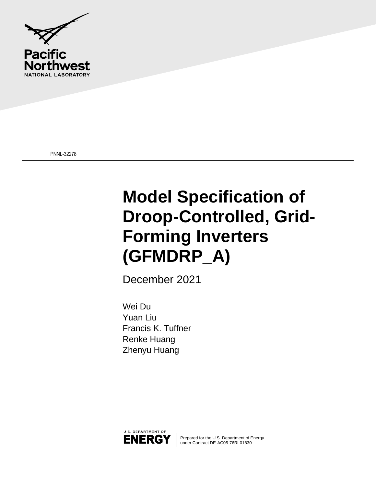

PNNL-32278

# **Model Specification of Droop-Controlled, Grid-Forming Inverters (GFMDRP\_A)**

December 2021

Wei Du Yuan Liu Francis K. Tuffner Renke Huang Zhenyu Huang



Prepared for the U.S. Department of Energy under Contract DE-AC05-76RL01830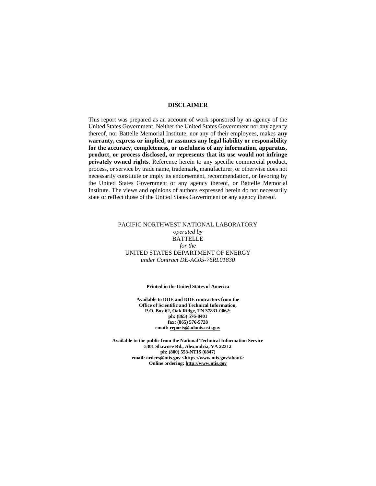#### **DISCLAIMER**

This report was prepared as an account of work sponsored by an agency of the United States Government. Neither the United States Government nor any agency thereof, nor Battelle Memorial Institute, nor any of their employees, makes **any warranty, express or implied, or assumes any legal liability or responsibility for the accuracy, completeness, or usefulness of any information, apparatus, product, or process disclosed, or represents that its use would not infringe privately owned rights**. Reference herein to any specific commercial product, process, or service by trade name, trademark, manufacturer, or otherwise does not necessarily constitute or imply its endorsement, recommendation, or favoring by the United States Government or any agency thereof, or Battelle Memorial Institute. The views and opinions of authors expressed herein do not necessarily state or reflect those of the United States Government or any agency thereof.

#### PACIFIC NORTHWEST NATIONAL LABORATORY *operated by* BATTELLE *for the* UNITED STATES DEPARTMENT OF ENERGY *under Contract DE-AC05-76RL01830*

#### **Printed in the United States of America**

**Available to DOE and DOE contractors from the Office of Scientific and Technical Information, P.O. Box 62, Oak Ridge, TN 37831-0062; ph: (865) 576-8401 fax: (865) 576-5728 email[: reports@adonis.osti.gov](mailto:reports@adonis.osti.gov)** 

**Available to the public from the National Technical Information Service 5301 Shawnee Rd., Alexandria, VA 22312 ph: (800) 553-NTIS (6847) email: orders@ntis.gov [<https://www.ntis.gov/about>](https://www.ntis.gov/about) Online ordering[: http://www.ntis.gov](http://www.ntis.gov/)**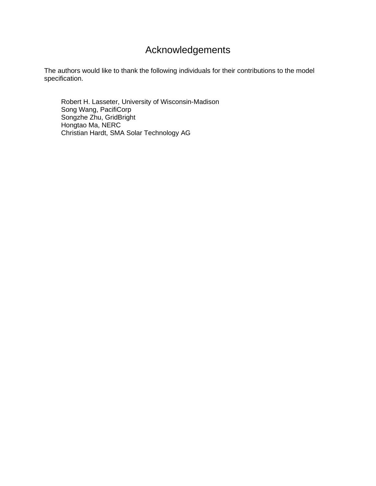### Acknowledgements

The authors would like to thank the following individuals for their contributions to the model specification.

 Robert H. Lasseter, University of Wisconsin-Madison Song Wang, PacifiCorp Songzhe Zhu, GridBright Hongtao Ma, NERC Christian Hardt, SMA Solar Technology AG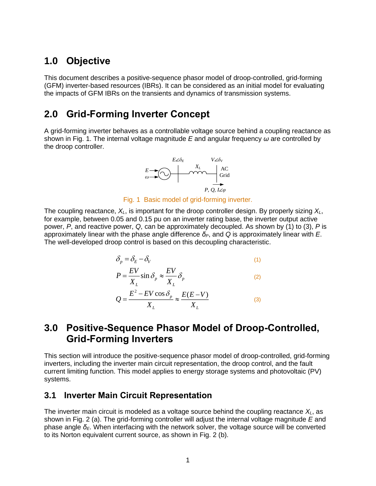### **1.0 Objective**

This document describes a positive-sequence phasor model of droop-controlled, grid-forming (GFM) inverter-based resources (IBRs). It can be considered as an initial model for evaluating the impacts of GFM IBRs on the transients and dynamics of transmission systems.

### **2.0 Grid-Forming Inverter Concept**

A grid-forming inverter behaves as a controllable voltage source behind a coupling reactance as shown in [Fig. 1.](#page-3-0) The internal voltage magnitude *E* and angular frequency *ω* are controlled by the droop controller.



Fig. 1 Basic model of grid-forming inverter.

<span id="page-3-0"></span>The coupling reactance, *XL*, is important for the droop controller design. By properly sizing *XL*, for example, between 0.05 and 0.15 pu on an inverter rating base, the inverter output active power, *P*, and reactive power, *Q*, can be approximately decoupled. As shown by [\(1\)](#page-3-1) to [\(3\)](#page-3-2), *P* is approximately linear with the phase angle difference *δP*, and *Q* is approximately linear with *E*. The well-developed droop control is based on this decoupling characteristic.

<span id="page-3-1"></span>
$$
\delta_p = \delta_E - \delta_V \tag{1}
$$

$$
P = \frac{EV}{X_L} \sin \delta_p \approx \frac{EV}{X_L} \delta_p
$$
 (2)

<span id="page-3-2"></span>
$$
Q = \frac{E^2 - EV \cos \delta_p}{X_L} \approx \frac{E(E - V)}{X_L}
$$
 (3)

#### **3.0 Positive-Sequence Phasor Model of Droop-Controlled, Grid-Forming Inverters**

This section will introduce the positive-sequence phasor model of droop-controlled, grid-forming inverters, including the inverter main circuit representation, the droop control, and the fault current limiting function. This model applies to energy storage systems and photovoltaic (PV) systems.

#### **3.1 Inverter Main Circuit Representation**

The inverter main circuit is modeled as a voltage source behind the coupling reactance *XL*, as shown in [Fig. 2](#page-4-0) (a). The grid-forming controller will adjust the internal voltage magnitude *E* and phase angle *δE*. When interfacing with the network solver, the voltage source will be converted to its Norton equivalent current source, as shown in [Fig. 2](#page-4-0) (b).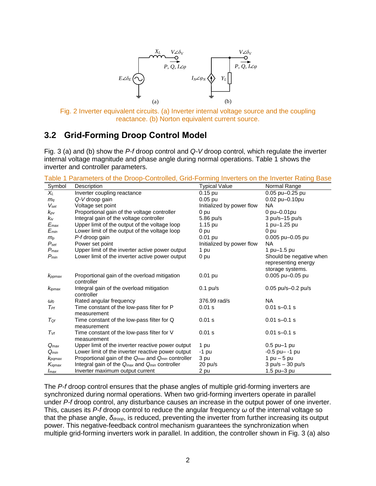

<span id="page-4-0"></span>Fig. 2 Inverter equivalent circuits. (a) Inverter internal voltage source and the coupling reactance. (b) Norton equivalent current source.

#### **3.2 Grid-Forming Droop Control Model**

[Fig. 3](#page-5-0) (a) and (b) show the *P-f* droop control and *Q-V* droop control, which regulate the inverter internal voltage magnitude and phase angle during normal operations. [Table 1](#page-4-1) shows the inverter and controller parameters.

| Symbol             | Description                                                           | <b>Typical Value</b>      | Normal Range                                   |
|--------------------|-----------------------------------------------------------------------|---------------------------|------------------------------------------------|
| $X_L$              | Inverter coupling reactance                                           | $0.15$ pu                 | 0.05 pu-0.25 pu                                |
| $m_{\sigma}$       | Q-V droop gain                                                        | $0.05$ pu                 | 0.02 pu-0.10pu                                 |
| $V_{\text{set}}$   | Voltage set point                                                     | Initialized by power flow | <b>NA</b>                                      |
| $k_{p}$            | Proportional gain of the voltage controller                           | 0 pu                      | 0 pu-0.01pu                                    |
| $k_{iv}$           | Integral gain of the voltage controller                               | 5.86 pu/s                 | $3$ pu/s-15 pu/s                               |
| $E_{max}$          | Upper limit of the output of the voltage loop                         | $1.15$ pu                 | 1 pu-1.25 pu                                   |
| $E_{min}$          | Lower limit of the output of the voltage loop                         | 0 pu                      | 0 pu                                           |
| $m_{p}$            | P-f droop gain                                                        | $0.01$ pu                 | 0.005 pu-0.05 pu                               |
| $P_{\mathit{set}}$ | Power set point                                                       | Initialized by power flow | <b>NA</b>                                      |
| $P_{\text{max}}$   | Upper limit of the inverter active power output                       | 1 pu                      | 1 pu-1.5 pu                                    |
| $P_{min}$          | Lower limit of the inverter active power output                       | 0 pu                      | Should be negative when<br>representing energy |
|                    |                                                                       |                           | storage systems.                               |
| K <sub>ppmax</sub> | Proportional gain of the overload mitigation<br>controller            | $0.01$ pu                 | 0.005 pu-0.05 pu                               |
| Kipmax             | Integral gain of the overload mitigation<br>controller                | $0.1$ pu/s                | $0.05$ pu/s- $0.2$ pu/s                        |
| $\omega_0$         | Rated angular frequency                                               | 376.99 rad/s              | <b>NA</b>                                      |
| $T_{Pf}$           | Time constant of the low-pass filter for P<br>measurement             | 0.01 s                    | $0.01 s - 0.1 s$                               |
| $T_{\mathsf{Q}f}$  | Time constant of the low-pass filter for Q<br>measurement             | 0.01 s                    | $0.01 s - 0.1 s$                               |
| $T_{Vf}$           | Time constant of the low-pass filter for V<br>measurement             | 0.01 s                    | $0.01 s - 0.1 s$                               |
| $Q_{max}$          | Upper limit of the inverter reactive power output                     | 1 pu                      | $0.5$ pu-1 pu                                  |
| $Q_{min}$          | Lower limit of the inverter reactive power output                     | -1 pu                     | $-0.5$ pu $-$ -1 pu                            |
| $k_{pqmax}$        | Proportional gain of the $Q_{max}$ and $Q_{min}$ controller           | 3 pu                      | $1$ pu $-5$ pu                                 |
| Kigmax             | Integral gain of the Q <sub>max</sub> and Q <sub>min</sub> controller | 20 pu/s                   | $3$ pu/s $-30$ pu/s                            |
| $I_{max}$          | Inverter maximum output current                                       | 2 pu                      | $1.5$ pu $-3$ pu                               |

<span id="page-4-1"></span>Table 1 Parameters of the Droop-Controlled, Grid-Forming Inverters on the Inverter Rating Base

The *P-f* droop control ensures that the phase angles of multiple grid-forming inverters are synchronized during normal operations. When two grid-forming inverters operate in parallel under *P-f* droop control, any disturbance causes an increase in the output power of one inverter. This, causes its *P-f* droop control to reduce the angular frequency *ω* of the internal voltage so that the phase angle, *δdroop*, is reduced, preventing the inverter from further increasing its output power. This negative-feedback control mechanism guarantees the synchronization when multiple grid-forming inverters work in parallel. In addition, the controller shown in [Fig. 3](#page-5-0) (a) also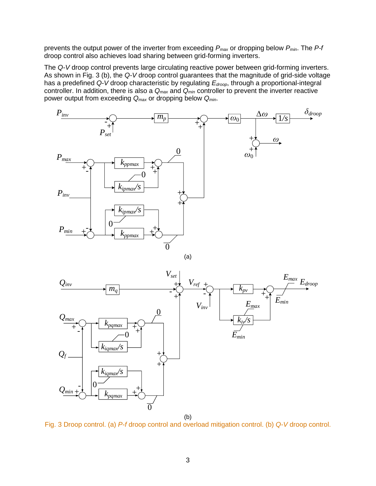prevents the output power of the inverter from exceeding *Pmax* or dropping below *Pmin*. The *P-f* droop control also achieves load sharing between grid-forming inverters.

The *Q-V* droop control prevents large circulating reactive power between grid-forming inverters. As shown in [Fig. 3](#page-5-0) (b), the *Q-V* droop control guarantees that the magnitude of grid-side voltage has a predefined *Q-V* droop characteristic by regulating *Edroop*, through a proportional-integral controller. In addition, there is also a *Qmax* and *Qmin* controller to prevent the inverter reactive power output from exceeding *Qmax* or dropping below *Qmin*.



$$
(a)
$$



(b)

<span id="page-5-0"></span>Fig. 3 Droop control. (a) *P-f* droop control and overload mitigation control. (b) *Q-V* droop control.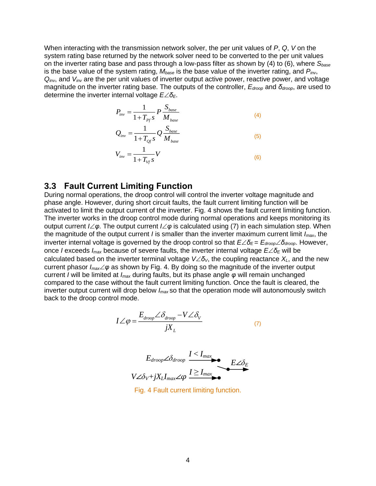When interacting with the transmission network solver, the per unit values of *P*, *Q*, *V* on the system rating base returned by the network solver need to be converted to the per unit values on the inverter rating base and pass through a low-pass filter as shown by [\(4\)](#page-6-0) to [\(6\)](#page-6-1), where *Sbase* is the base value of the system rating, *Mbase* is the base value of the inverter rating, and *Pinv*, *Qinv*, and *Vinv* are the per unit values of inverter output active power, reactive power, and voltage magnitude on the inverter rating base. The outputs of the controller, *Edroop* and *δdroop*, are used to determine the inverter internal voltage *EδE*.

<span id="page-6-0"></span>
$$
P_{inv} = \frac{1}{1 + T_{pf} s} P \frac{S_{base}}{M_{base}} \tag{4}
$$

$$
Q_{inv} = \frac{1}{1 + T_{Qf}S} Q \frac{S_{base}}{M_{base}}
$$
\n<sup>(5)</sup>

<span id="page-6-1"></span>
$$
V_{inv} = \frac{1}{1 + T_{Vf} S} V
$$
\n<sup>(6)</sup>

#### **3.3 Fault Current Limiting Function**

During normal operations, the droop control will control the inverter voltage magnitude and phase angle. However, during short circuit faults, the fault current limiting function will be activated to limit the output current of the inverter. [Fig. 4](#page-6-2) shows the fault current limiting function. The inverter works in the droop control mode during normal operations and keeps monitoring its output current *Iφ*. The output current *Iφ* is calculated using [\(7\)](#page-6-3) in each simulation step. When the magnitude of the output current *I* is smaller than the inverter maximum current limit *Imax*, the inverter internal voltage is governed by the droop control so that *Eδ<sup>E</sup>* = *Edroopδdroop*. However, once *I* exceeds *Imax* because of severe faults, the inverter internal voltage *Eδ<sup>E</sup>* will be calculated based on the inverter terminal voltage  $V\angle\delta_V$ , the coupling reactance  $X_L$ , and the new current phasor *Imaxφ* as shown by [Fig. 4.](#page-6-2) By doing so the magnitude of the inverter output current *I* will be limited at *Imax* during faults, but its phase angle *φ* will remain unchanged compared to the case without the fault current limiting function. Once the fault is cleared, the inverter output current will drop below *Imax* so that the operation mode will autonomously switch back to the droop control mode.

$$
I \angle \varphi = \frac{E_{\text{droop}} \angle \delta_{\text{droop}} - V \angle \delta_{V}}{jX_{L}}
$$
 (7)

<span id="page-6-3"></span>

<span id="page-6-2"></span>Fig. 4 Fault current limiting function.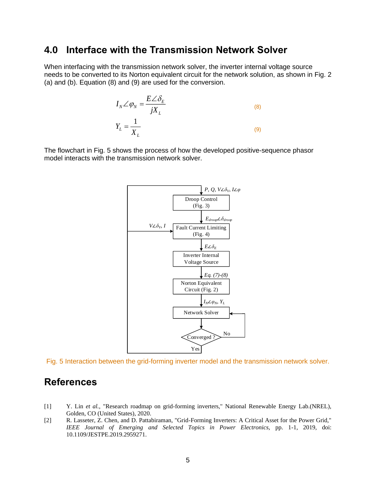#### **4.0 Interface with the Transmission Network Solver**

When interfacing with the transmission network solver, the inverter internal voltage source needs to be converted to its Norton equivalent circuit for the network solution, as shown in [Fig. 2](#page-4-0) (a) and (b). Equation [\(8\)](#page-7-0) and [\(9\)](#page-7-1) are used for the conversion.

<span id="page-7-1"></span><span id="page-7-0"></span>
$$
I_N \angle \varphi_N = \frac{E \angle \delta_E}{jX_L}
$$
\n
$$
Y_L = \frac{1}{X_L}
$$
\n(8)

The flowchart in [Fig. 5](#page-7-2) shows the process of how the developed positive-sequence phasor model interacts with the transmission network solver.



<span id="page-7-2"></span>Fig. 5 Interaction between the grid-forming inverter model and the transmission network solver.

#### **References**

- [1] Y. Lin *et al.*, "Research roadmap on grid-forming inverters," National Renewable Energy Lab.(NREL), Golden, CO (United States), 2020.
- [2] R. Lasseter, Z. Chen, and D. Pattabiraman, "Grid-Forming Inverters: A Critical Asset for the Power Grid," *IEEE Journal of Emerging and Selected Topics in Power Electronics,* pp. 1-1, 2019, doi: 10.1109/JESTPE.2019.2959271.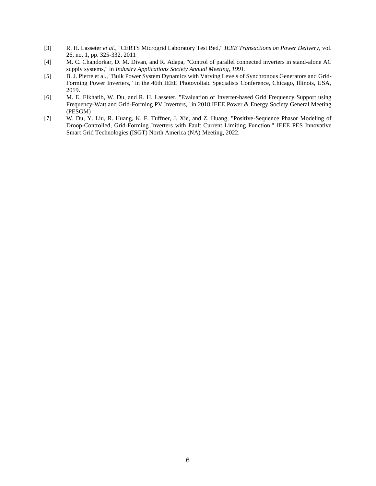- [3] R. H. Lasseter *et al.*, "CERTS Microgrid Laboratory Test Bed," *IEEE Transactions on Power Delivery,* vol. 26, no. 1, pp. 325-332, 2011
- [4] M. C. Chandorkar, D. M. Divan, and R. Adapa, "Control of parallel connected inverters in stand-alone AC supply systems," in *Industry Applications Society Annual Meeting, 1991.*
- [5] B. J. Pierre et al., "Bulk Power System Dynamics with Varying Levels of Synchronous Generators and Grid-Forming Power Inverters," in the 46th IEEE Photovoltaic Specialists Conference, Chicago, Illinois, USA, 2019.
- [6] M. E. Elkhatib, W. Du, and R. H. Lasseter, "Evaluation of Inverter-based Grid Frequency Support using Frequency-Watt and Grid-Forming PV Inverters," in 2018 IEEE Power & Energy Society General Meeting (PESGM)
- [7] W. Du, Y. Liu, R. Huang, K. F. Tuffner, J. Xie, and Z. Huang, "Positive-Sequence Phasor Modeling of Droop-Controlled, Grid-Forming Inverters with Fault Current Limiting Function," IEEE PES Innovative Smart Grid Technologies (ISGT) North America (NA) Meeting, 2022.